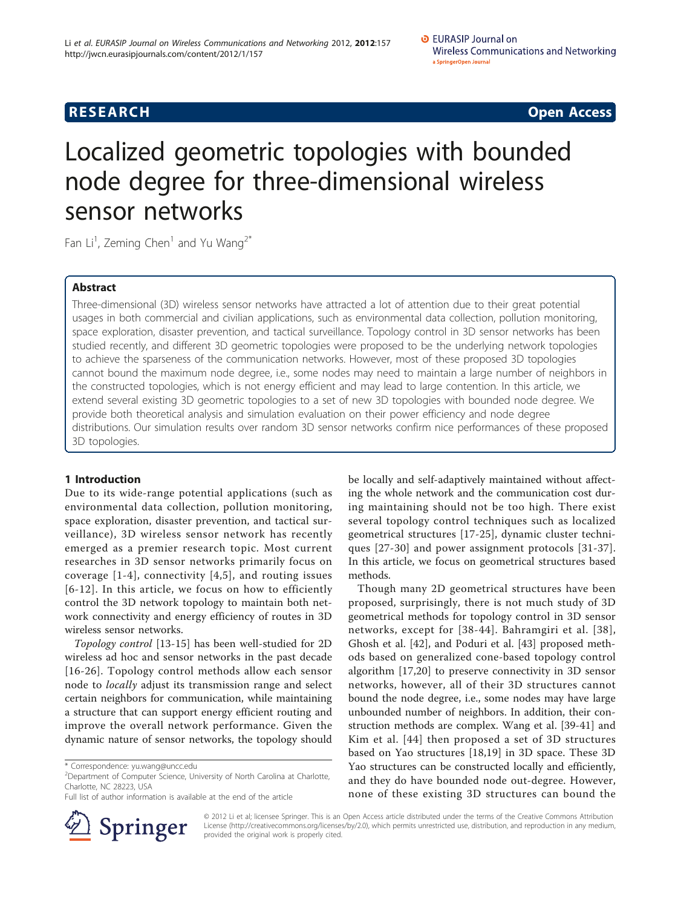**RESEARCH CONSTRUCTION CONSTRUCTS** 

# Localized geometric topologies with bounded node degree for three-dimensional wireless sensor networks

Fan Li<sup>1</sup>, Zeming Chen<sup>1</sup> and Yu Wang<sup>2\*</sup>

# Abstract

Three-dimensional (3D) wireless sensor networks have attracted a lot of attention due to their great potential usages in both commercial and civilian applications, such as environmental data collection, pollution monitoring, space exploration, disaster prevention, and tactical surveillance. Topology control in 3D sensor networks has been studied recently, and different 3D geometric topologies were proposed to be the underlying network topologies to achieve the sparseness of the communication networks. However, most of these proposed 3D topologies cannot bound the maximum node degree, i.e., some nodes may need to maintain a large number of neighbors in the constructed topologies, which is not energy efficient and may lead to large contention. In this article, we extend several existing 3D geometric topologies to a set of new 3D topologies with bounded node degree. We provide both theoretical analysis and simulation evaluation on their power efficiency and node degree distributions. Our simulation results over random 3D sensor networks confirm nice performances of these proposed 3D topologies.

# 1 Introduction

Due to its wide-range potential applications (such as environmental data collection, pollution monitoring, space exploration, disaster prevention, and tactical surveillance), 3D wireless sensor network has recently emerged as a premier research topic. Most current researches in 3D sensor networks primarily focus on coverage  $[1-4]$  $[1-4]$  $[1-4]$  $[1-4]$ , connectivity  $[4,5]$  $[4,5]$  $[4,5]$  $[4,5]$ , and routing issues [[6](#page-12-0)-[12\]](#page-12-0). In this article, we focus on how to efficiently control the 3D network topology to maintain both network connectivity and energy efficiency of routes in 3D wireless sensor networks.

Topology control [[13-15](#page-12-0)] has been well-studied for 2D wireless ad hoc and sensor networks in the past decade [[16-26\]](#page-12-0). Topology control methods allow each sensor node to locally adjust its transmission range and select certain neighbors for communication, while maintaining a structure that can support energy efficient routing and improve the overall network performance. Given the dynamic nature of sensor networks, the topology should

Full list of author information is available at the end of the article



be locally and self-adaptively maintained without affecting the whole network and the communication cost during maintaining should not be too high. There exist several topology control techniques such as localized geometrical structures [[17-25\]](#page-12-0), dynamic cluster techniques [[27](#page-12-0)-[30](#page-12-0)] and power assignment protocols [[31](#page-12-0)-[37](#page-12-0)]. In this article, we focus on geometrical structures based methods.

Though many 2D geometrical structures have been proposed, surprisingly, there is not much study of 3D geometrical methods for topology control in 3D sensor networks, except for [[38-](#page-12-0)[44\]](#page-13-0). Bahramgiri et al. [[38\]](#page-12-0), Ghosh et al. [[42\]](#page-12-0), and Poduri et al. [\[43](#page-12-0)] proposed methods based on generalized cone-based topology control algorithm [[17,20](#page-12-0)] to preserve connectivity in 3D sensor networks, however, all of their 3D structures cannot bound the node degree, i.e., some nodes may have large unbounded number of neighbors. In addition, their construction methods are complex. Wang et al. [[39-41\]](#page-12-0) and Kim et al. [[44\]](#page-13-0) then proposed a set of 3D structures based on Yao structures [\[18](#page-12-0),[19\]](#page-12-0) in 3D space. These 3D Yao structures can be constructed locally and efficiently, and they do have bounded node out-degree. However, none of these existing 3D structures can bound the

© 2012 Li et al; licensee Springer. This is an Open Access article distributed under the terms of the Creative Commons Attribution License [\(http://creativecommons.org/licenses/by/2.0](http://creativecommons.org/licenses/by/2.0)), which permits unrestricted use, distribution, and reproduction in any medium, provided the original work is properly cited.

<sup>\*</sup> Correspondence: [yu.wang@uncc.edu](mailto:yu.wang@uncc.edu)

<sup>&</sup>lt;sup>2</sup>Department of Computer Science, University of North Carolina at Charlotte, Charlotte, NC 28223, USA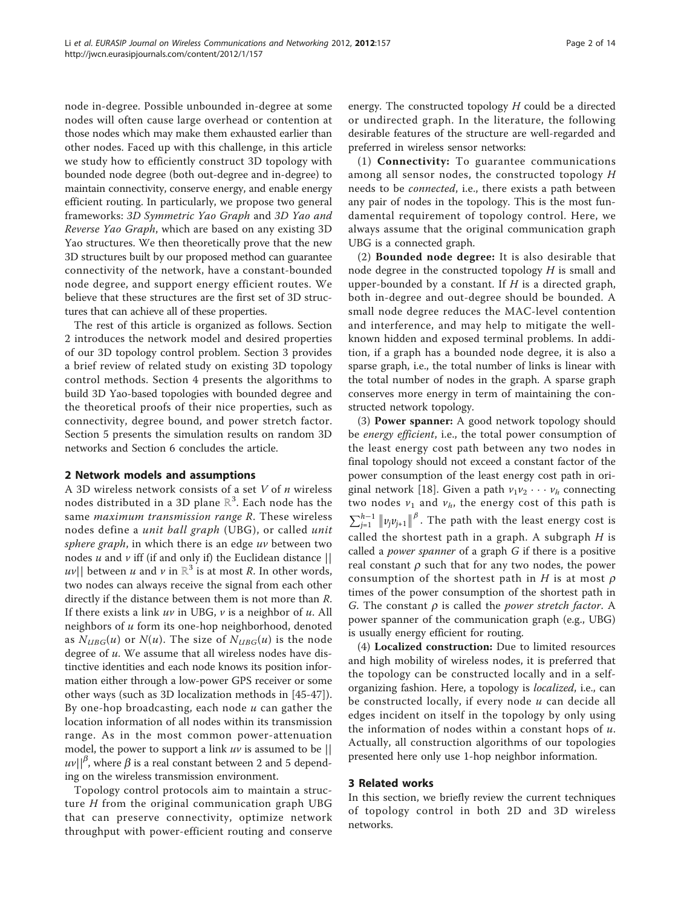node in-degree. Possible unbounded in-degree at some nodes will often cause large overhead or contention at those nodes which may make them exhausted earlier than other nodes. Faced up with this challenge, in this article we study how to efficiently construct 3D topology with bounded node degree (both out-degree and in-degree) to maintain connectivity, conserve energy, and enable energy efficient routing. In particularly, we propose two general frameworks: 3D Symmetric Yao Graph and 3D Yao and Reverse Yao Graph, which are based on any existing 3D Yao structures. We then theoretically prove that the new 3D structures built by our proposed method can guarantee connectivity of the network, have a constant-bounded node degree, and support energy efficient routes. We believe that these structures are the first set of 3D structures that can achieve all of these properties.

The rest of this article is organized as follows. Section 2 introduces the network model and desired properties of our 3D topology control problem. Section 3 provides a brief review of related study on existing 3D topology control methods. Section 4 presents the algorithms to build 3D Yao-based topologies with bounded degree and the theoretical proofs of their nice properties, such as connectivity, degree bound, and power stretch factor. Section 5 presents the simulation results on random 3D networks and Section 6 concludes the article.

# 2 Network models and assumptions

A 3D wireless network consists of a set  $V$  of  $n$  wireless nodes distributed in a 3D plane  $\mathbb{R}^3.$  Each node has the same maximum transmission range R. These wireless nodes define a unit ball graph (UBG), or called unit sphere graph, in which there is an edge  $uv$  between two nodes  $u$  and  $v$  iff (if and only if) the Euclidean distance  $||$  $|uv||$  between u and v in  $\mathbb{R}^3$  is at most R. In other words, two nodes can always receive the signal from each other directly if the distance between them is not more than R. If there exists a link  $uv$  in UBG,  $v$  is a neighbor of  $u$ . All neighbors of u form its one-hop neighborhood, denoted as  $N_{UBG}(u)$  or  $N(u)$ . The size of  $N_{UBG}(u)$  is the node degree of  $u$ . We assume that all wireless nodes have distinctive identities and each node knows its position information either through a low-power GPS receiver or some other ways (such as 3D localization methods in [\[45](#page-13-0)-[47\]](#page-13-0)). By one-hop broadcasting, each node  $u$  can gather the location information of all nodes within its transmission range. As in the most common power-attenuation model, the power to support a link  $uv$  is assumed to be ||  $uv||^{\beta}$ , where  $\beta$  is a real constant between 2 and 5 depending on the wireless transmission environment.

Topology control protocols aim to maintain a structure  $H$  from the original communication graph UBG that can preserve connectivity, optimize network throughput with power-efficient routing and conserve energy. The constructed topology  $H$  could be a directed or undirected graph. In the literature, the following desirable features of the structure are well-regarded and preferred in wireless sensor networks:

(1) Connectivity: To guarantee communications among all sensor nodes, the constructed topology H needs to be connected, i.e., there exists a path between any pair of nodes in the topology. This is the most fundamental requirement of topology control. Here, we always assume that the original communication graph UBG is a connected graph.

(2) Bounded node degree: It is also desirable that node degree in the constructed topology  $H$  is small and upper-bounded by a constant. If  $H$  is a directed graph, both in-degree and out-degree should be bounded. A small node degree reduces the MAC-level contention and interference, and may help to mitigate the wellknown hidden and exposed terminal problems. In addition, if a graph has a bounded node degree, it is also a sparse graph, i.e., the total number of links is linear with the total number of nodes in the graph. A sparse graph conserves more energy in term of maintaining the constructed network topology.

(3) Power spanner: A good network topology should be *energy efficient*, i.e., the total power consumption of the least energy cost path between any two nodes in final topology should not exceed a constant factor of the power consumption of the least energy cost path in ori-ginal network [[18\]](#page-12-0). Given a path  $v_1v_2 \cdots v_h$  connecting two nodes  $v_1$  and  $v_h$ , the energy cost of this path is  $\sum_{j=1}^{h-1} ||v_jv_{j+1}||^{\beta}$ . The path with the least energy cost is called the shortest path in a graph. A subgraph  $H$  is called a power spanner of a graph G if there is a positive real constant  $\rho$  such that for any two nodes, the power consumption of the shortest path in H is at most  $\rho$ times of the power consumption of the shortest path in G. The constant  $\rho$  is called the *power stretch factor*. A power spanner of the communication graph (e.g., UBG) is usually energy efficient for routing.

(4) Localized construction: Due to limited resources and high mobility of wireless nodes, it is preferred that the topology can be constructed locally and in a selforganizing fashion. Here, a topology is localized, i.e., can be constructed locally, if every node  $u$  can decide all edges incident on itself in the topology by only using the information of nodes within a constant hops of  $u$ . Actually, all construction algorithms of our topologies presented here only use 1-hop neighbor information.

# 3 Related works

In this section, we briefly review the current techniques of topology control in both 2D and 3D wireless networks.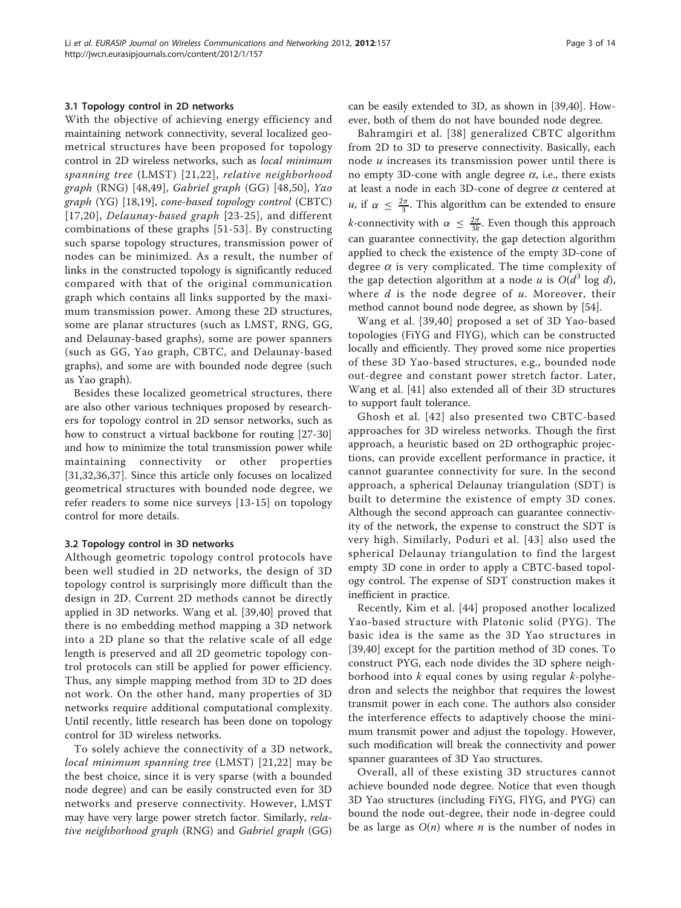#### 3.1 Topology control in 2D networks

With the objective of achieving energy efficiency and maintaining network connectivity, several localized geometrical structures have been proposed for topology control in 2D wireless networks, such as local minimum spanning tree (LMST) [[21](#page-12-0),[22\]](#page-12-0), relative neighborhood graph (RNG) [\[48](#page-13-0),[49\]](#page-13-0), Gabriel graph (GG) [[48,50](#page-13-0)], Yao graph (YG) [\[18,19](#page-12-0)], cone-based topology control (CBTC) [[17,20\]](#page-12-0), Delaunay-based graph [[23-25](#page-12-0)], and different combinations of these graphs [[51](#page-13-0)-[53](#page-13-0)]. By constructing such sparse topology structures, transmission power of nodes can be minimized. As a result, the number of links in the constructed topology is significantly reduced compared with that of the original communication graph which contains all links supported by the maximum transmission power. Among these 2D structures, some are planar structures (such as LMST, RNG, GG, and Delaunay-based graphs), some are power spanners (such as GG, Yao graph, CBTC, and Delaunay-based graphs), and some are with bounded node degree (such as Yao graph).

Besides these localized geometrical structures, there are also other various techniques proposed by researchers for topology control in 2D sensor networks, such as how to construct a virtual backbone for routing [[27-30](#page-12-0)] and how to minimize the total transmission power while maintaining connectivity or other properties [[31,32,36,37\]](#page-12-0). Since this article only focuses on localized geometrical structures with bounded node degree, we refer readers to some nice surveys [\[13-15](#page-12-0)] on topology control for more details.

#### 3.2 Topology control in 3D networks

Although geometric topology control protocols have been well studied in 2D networks, the design of 3D topology control is surprisingly more difficult than the design in 2D. Current 2D methods cannot be directly applied in 3D networks. Wang et al. [\[39,40](#page-12-0)] proved that there is no embedding method mapping a 3D network into a 2D plane so that the relative scale of all edge length is preserved and all 2D geometric topology control protocols can still be applied for power efficiency. Thus, any simple mapping method from 3D to 2D does not work. On the other hand, many properties of 3D networks require additional computational complexity. Until recently, little research has been done on topology control for 3D wireless networks.

To solely achieve the connectivity of a 3D network, local minimum spanning tree (LMST) [\[21,22\]](#page-12-0) may be the best choice, since it is very sparse (with a bounded node degree) and can be easily constructed even for 3D networks and preserve connectivity. However, LMST may have very large power stretch factor. Similarly, relative neighborhood graph (RNG) and Gabriel graph (GG)

can be easily extended to 3D, as shown in [\[39,40\]](#page-12-0). However, both of them do not have bounded node degree.

Bahramgiri et al. [\[38\]](#page-12-0) generalized CBTC algorithm from 2D to 3D to preserve connectivity. Basically, each node  $u$  increases its transmission power until there is no empty 3D-cone with angle degree  $\alpha$ , i.e., there exists at least a node in each 3D-cone of degree  $\alpha$  centered at *u*, if  $\alpha \leq \frac{2\pi}{3}$ . This algorithm can be extended to ensure *k*-connectivity with  $\alpha \leq \frac{2\pi}{3k}$ . Even though this approach can guarantee connectivity, the gap detection algorithm applied to check the existence of the empty 3D-cone of degree  $\alpha$  is very complicated. The time complexity of the gap detection algorithm at a node u is  $O(d^3 \log d)$ , where  $d$  is the node degree of  $u$ . Moreover, their method cannot bound node degree, as shown by [[54](#page-13-0)].

Wang et al. [[39](#page-12-0),[40\]](#page-12-0) proposed a set of 3D Yao-based topologies (FiYG and FlYG), which can be constructed locally and efficiently. They proved some nice properties of these 3D Yao-based structures, e.g., bounded node out-degree and constant power stretch factor. Later, Wang et al. [\[41](#page-12-0)] also extended all of their 3D structures to support fault tolerance.

Ghosh et al. [[42](#page-12-0)] also presented two CBTC-based approaches for 3D wireless networks. Though the first approach, a heuristic based on 2D orthographic projections, can provide excellent performance in practice, it cannot guarantee connectivity for sure. In the second approach, a spherical Delaunay triangulation (SDT) is built to determine the existence of empty 3D cones. Although the second approach can guarantee connectivity of the network, the expense to construct the SDT is very high. Similarly, Poduri et al. [[43](#page-12-0)] also used the spherical Delaunay triangulation to find the largest empty 3D cone in order to apply a CBTC-based topology control. The expense of SDT construction makes it inefficient in practice.

Recently, Kim et al. [[44\]](#page-13-0) proposed another localized Yao-based structure with Platonic solid (PYG). The basic idea is the same as the 3D Yao structures in [[39,40\]](#page-12-0) except for the partition method of 3D cones. To construct PYG, each node divides the 3D sphere neighborhood into  $k$  equal cones by using regular  $k$ -polyhedron and selects the neighbor that requires the lowest transmit power in each cone. The authors also consider the interference effects to adaptively choose the minimum transmit power and adjust the topology. However, such modification will break the connectivity and power spanner guarantees of 3D Yao structures.

Overall, all of these existing 3D structures cannot achieve bounded node degree. Notice that even though 3D Yao structures (including FiYG, FlYG, and PYG) can bound the node out-degree, their node in-degree could be as large as  $O(n)$  where *n* is the number of nodes in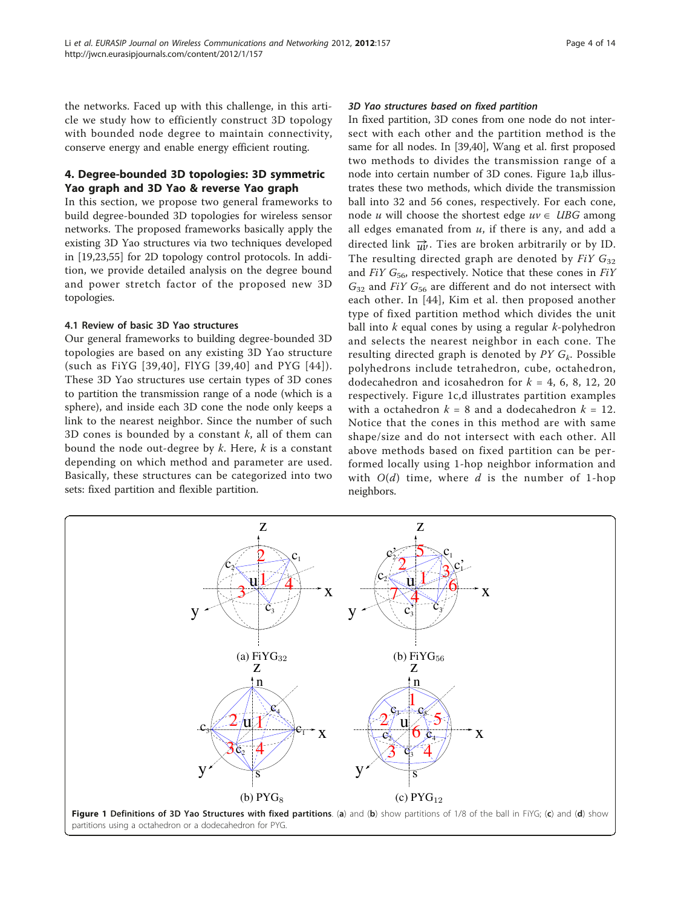the networks. Faced up with this challenge, in this article we study how to efficiently construct 3D topology with bounded node degree to maintain connectivity, conserve energy and enable energy efficient routing.

# 4. Degree-bounded 3D topologies: 3D symmetric Yao graph and 3D Yao & reverse Yao graph

In this section, we propose two general frameworks to build degree-bounded 3D topologies for wireless sensor networks. The proposed frameworks basically apply the existing 3D Yao structures via two techniques developed in [\[19,23](#page-12-0)[,55](#page-13-0)] for 2D topology control protocols. In addition, we provide detailed analysis on the degree bound and power stretch factor of the proposed new 3D topologies.

# 4.1 Review of basic 3D Yao structures

Our general frameworks to building degree-bounded 3D topologies are based on any existing 3D Yao structure (such as FiYG [[39](#page-12-0),[40](#page-12-0)], FlYG [[39](#page-12-0),[40\]](#page-12-0) and PYG [[44](#page-13-0)]). These 3D Yao structures use certain types of 3D cones to partition the transmission range of a node (which is a sphere), and inside each 3D cone the node only keeps a link to the nearest neighbor. Since the number of such 3D cones is bounded by a constant  $k$ , all of them can bound the node out-degree by  $k$ . Here,  $k$  is a constant depending on which method and parameter are used. Basically, these structures can be categorized into two sets: fixed partition and flexible partition.

# 3D Yao structures based on fixed partition

In fixed partition, 3D cones from one node do not intersect with each other and the partition method is the same for all nodes. In [[39](#page-12-0),[40](#page-12-0)], Wang et al. first proposed two methods to divides the transmission range of a node into certain number of 3D cones. Figure 1a,b illustrates these two methods, which divide the transmission ball into 32 and 56 cones, respectively. For each cone, node u will choose the shortest edge  $uv \in UBG$  among all edges emanated from  $u$ , if there is any, and add a directed link  $\vec{u}$ . Ties are broken arbitrarily or by ID. The resulting directed graph are denoted by  $FiY G_{32}$ and  $FiY G_{56}$ , respectively. Notice that these cones in  $FiY$  $G_{32}$  and FiY  $G_{56}$  are different and do not intersect with each other. In [[44](#page-13-0)], Kim et al. then proposed another type of fixed partition method which divides the unit ball into  $k$  equal cones by using a regular  $k$ -polyhedron and selects the nearest neighbor in each cone. The resulting directed graph is denoted by  $PYG_k$ . Possible polyhedrons include tetrahedron, cube, octahedron, dodecahedron and icosahedron for  $k = 4, 6, 8, 12, 20$ respectively. Figure 1c,d illustrates partition examples with a octahedron  $k = 8$  and a dodecahedron  $k = 12$ . Notice that the cones in this method are with same shape/size and do not intersect with each other. All above methods based on fixed partition can be performed locally using 1-hop neighbor information and with  $O(d)$  time, where d is the number of 1-hop neighbors.

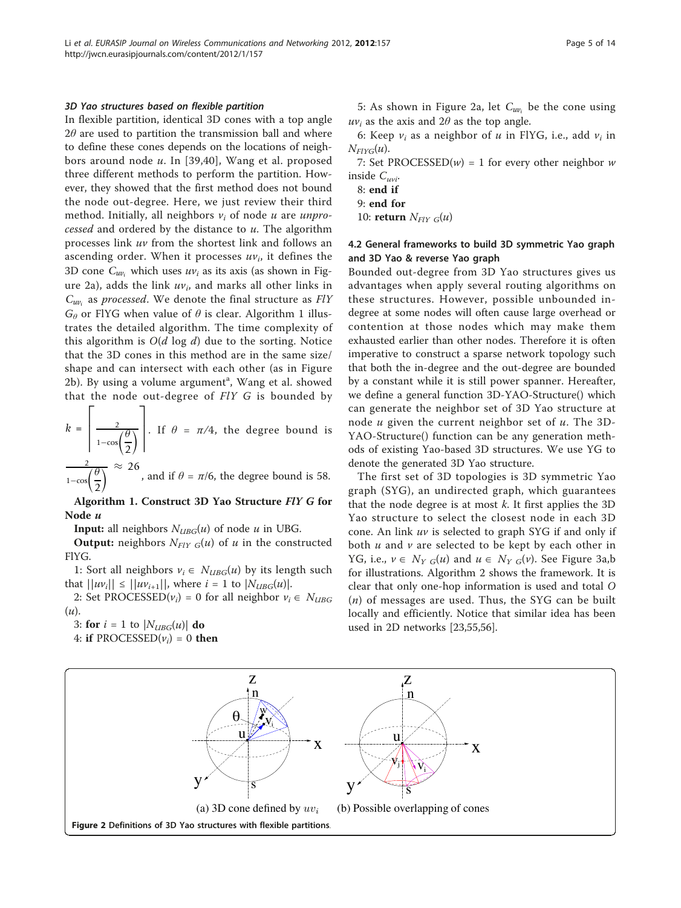#### <span id="page-4-0"></span>3D Yao structures based on flexible partition

In flexible partition, identical 3D cones with a top angle  $2\theta$  are used to partition the transmission ball and where to define these cones depends on the locations of neighbors around node  $u$ . In [[39](#page-12-0),[40](#page-12-0)], Wang et al. proposed three different methods to perform the partition. However, they showed that the first method does not bound the node out-degree. Here, we just review their third method. Initially, all neighbors  $v_i$  of node u are unprocessed and ordered by the distance to  $u$ . The algorithm processes link uv from the shortest link and follows an ascending order. When it processes  $uv_i$ , it defines the 3D cone  $C_{uv}$ , which uses  $uv_i$  as its axis (as shown in Figure 2a), adds the link  $uv_i$ , and marks all other links in *Cuvi* as processed. We denote the final structure as FlY  $G_{\theta}$  or FIYG when value of  $\theta$  is clear. Algorithm 1 illustrates the detailed algorithm. The time complexity of this algorithm is  $O(d \log d)$  due to the sorting. Notice that the 3D cones in this method are in the same size/ shape and can intersect with each other (as in Figure 2b). By using a volume argument<sup>a</sup>, Wang et al. showed that the node out-degree of  $F\ell Y$  G is bounded by

$$
k = \left[\frac{2}{1 - \cos\left(\frac{\theta}{2}\right)}\right].
$$
 If  $\theta = \pi/4$ , the degree bound is

2  $1-\cos\left(\frac{\theta}{2}\right)$ 2  $\overline{\wedge}$   $\approx$  26 , and if  $\theta = \pi/6$ , the degree bound is 58.

Algorithm 1. Construct 3D Yao Structure FlY G for Node u

**Input:** all neighbors  $N_{UBG}(u)$  of node u in UBG.

**Output:** neighbors  $N_{FlY} G(u)$  of u in the constructed FlYG.

1: Sort all neighbors  $v_i \in N_{UBG}(u)$  by its length such that  $||uv_i|| \le ||uv_{i+1}||$ , where  $i = 1$  to  $|N_{UBG}(u)|$ .

2: Set PROCESSED( $v_i$ ) = 0 for all neighbor  $v_i \in N_{UBG}$  $(u)$ .

3: for  $i = 1$  to  $|N_{UBG}(u)|$  do

4: if PROCESSED $(v_i) = 0$  then

5: As shown in Figure 2a, let *Cuvi* be the cone using  $uv_i$  as the axis and 2 $\theta$  as the top angle.

6: Keep  $v_i$  as a neighbor of u in FlYG, i.e., add  $v_i$  in  $N_{FIVG}(u)$ .

7: Set PROCESSED $(w) = 1$  for every other neighbor w inside  $C_{uvi}$ .

- 8: end if
- 9: end for
- 10: return  $N_{FlY} G(u)$

# 4.2 General frameworks to build 3D symmetric Yao graph and 3D Yao & reverse Yao graph

Bounded out-degree from 3D Yao structures gives us advantages when apply several routing algorithms on these structures. However, possible unbounded indegree at some nodes will often cause large overhead or contention at those nodes which may make them exhausted earlier than other nodes. Therefore it is often imperative to construct a sparse network topology such that both the in-degree and the out-degree are bounded by a constant while it is still power spanner. Hereafter, we define a general function 3D-YAO-Structure() which can generate the neighbor set of 3D Yao structure at node  $u$  given the current neighbor set of  $u$ . The 3D-YAO-Structure() function can be any generation methods of existing Yao-based 3D structures. We use YG to denote the generated 3D Yao structure.

The first set of 3D topologies is 3D symmetric Yao graph (SYG), an undirected graph, which guarantees that the node degree is at most  $k$ . It first applies the 3D Yao structure to select the closest node in each 3D cone. An link  $uv$  is selected to graph SYG if and only if both  $u$  and  $v$  are selected to be kept by each other in YG, i.e.,  $v \in N_{Y \ G}(u)$  and  $u \in N_{Y \ G}(v)$ . See Figure [3a,b](#page-5-0) for illustrations. Algorithm 2 shows the framework. It is clear that only one-hop information is used and total O  $(n)$  of messages are used. Thus, the SYG can be built locally and efficiently. Notice that similar idea has been used in 2D networks [[23](#page-12-0)[,55,56](#page-13-0)].

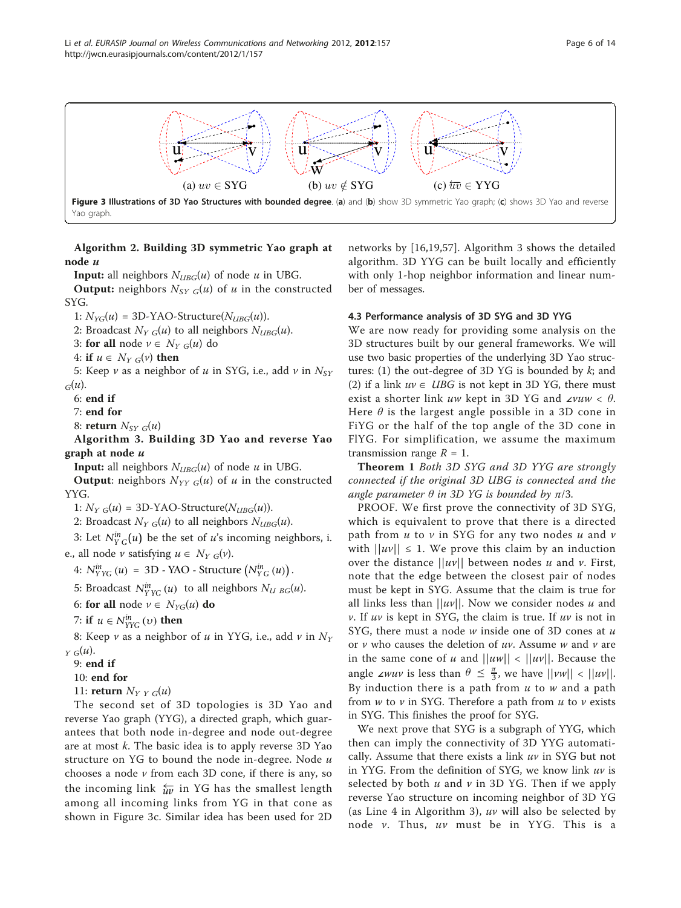<span id="page-5-0"></span>

Yao graph.

Algorithm 2. Building 3D symmetric Yao graph at node u

**Input:** all neighbors  $N_{UBG}(u)$  of node u in UBG.

**Output:** neighbors  $N_{SY}$   $_G(u)$  of u in the constructed SYG.

1:  $N_{YG}(u) = 3D-YAO-Structure(N_{UBG}(u)).$ 

2: Broadcast  $N_{YG}(u)$  to all neighbors  $N_{UBG}(u)$ .

3: for all node  $v \in N_{Y G}(u)$  do

4: if  $u \in N_{Y \ G}(v)$  then

5: Keep  $\nu$  as a neighbor of  $u$  in SYG, i.e., add  $\nu$  in  $N_{SY}$  $_G(u)$ .

6: end if

7: end for

8: return  $N_{SYG}(u)$ 

Algorithm 3. Building 3D Yao and reverse Yao graph at node  $\mu$ 

**Input:** all neighbors  $N_{UBG}(u)$  of node u in UBG.

**Output:** neighbors  $N_{YY}$   $_G(u)$  of  $u$  in the constructed YYG.

1:  $N_{Y,G}(u) = 3D-YAO-Structure(N_{UBG}(u)).$ 

2: Broadcast  $N_{YG}(u)$  to all neighbors  $N_{UBG}(u)$ .

3: Let  $N_{YG}^{in}(u)$  be the set of u's incoming neighbors, i. e., all node  $\nu$  satisfying  $u \in N_{Y \ G}(\nu)$ .

4:  $N_{YYG}^{in}(u) = 3D$  - YAO - Structure  $(N_{YG}^{in}(u))$ .

5: Broadcast  $N_{YYG}^{in}(u)$  to all neighbors  $N_{UBG}(u)$ .

6: for all node  $v \in N_{YG}(u)$  do

7: if  $u \in N_{YYG}^{in}(v)$  then

8: Keep  $\nu$  as a neighbor of  $u$  in YYG, i.e., add  $\nu$  in  $N_Y$  $_Y G(u)$ .

9: end if

10: end for

11: return  $N_{Y|Y|G}(u)$ 

The second set of 3D topologies is 3D Yao and reverse Yao graph (YYG), a directed graph, which guarantees that both node in-degree and node out-degree are at most  $k$ . The basic idea is to apply reverse 3D Yao structure on YG to bound the node in-degree. Node  $u$ chooses a node  $\nu$  from each 3D cone, if there is any, so the incoming link  $\frac{L}{uv}$  in YG has the smallest length among all incoming links from YG in that cone as shown in Figure 3c. Similar idea has been used for 2D

networks by [[16,19,](#page-12-0)[57\]](#page-13-0). Algorithm 3 shows the detailed algorithm. 3D YYG can be built locally and efficiently with only 1-hop neighbor information and linear number of messages.

#### 4.3 Performance analysis of 3D SYG and 3D YYG

We are now ready for providing some analysis on the 3D structures built by our general frameworks. We will use two basic properties of the underlying 3D Yao structures: (1) the out-degree of 3D YG is bounded by  $k$ ; and (2) if a link  $uv \in UBG$  is not kept in 3D YG, there must exist a shorter link uw kept in 3D YG and ∠vuw <  $\theta$ . Here  $\theta$  is the largest angle possible in a 3D cone in FiYG or the half of the top angle of the 3D cone in FlYG. For simplification, we assume the maximum transmission range  $R = 1$ .

Theorem 1 Both 3D SYG and 3D YYG are strongly connected if the original 3D UBG is connected and the angle parameter  $\theta$  in 3D YG is bounded by  $\pi/3$ .

PROOF. We first prove the connectivity of 3D SYG, which is equivalent to prove that there is a directed path from  $u$  to  $v$  in SYG for any two nodes  $u$  and  $v$ with  $||uv|| \le 1$ . We prove this claim by an induction over the distance  $||uv||$  between nodes u and v. First, note that the edge between the closest pair of nodes must be kept in SYG. Assume that the claim is true for all links less than  $||uv||$ . Now we consider nodes u and  $v$ . If uv is kept in SYG, the claim is true. If uv is not in SYG, there must a node  $w$  inside one of 3D cones at  $u$ or  $v$  who causes the deletion of  $uv$ . Assume  $w$  and  $v$  are in the same cone of u and  $||uw|| < ||uv||$ . Because the angle ∠wuv is less than  $\theta \leq \frac{\pi}{3}$ , we have  $||vw|| < ||uv||$ . By induction there is a path from  $u$  to  $w$  and a path from  $w$  to  $v$  in SYG. Therefore a path from  $u$  to  $v$  exists in SYG. This finishes the proof for SYG.

We next prove that SYG is a subgraph of YYG, which then can imply the connectivity of 3D YYG automatically. Assume that there exists a link  $uv$  in SYG but not in YYG. From the definition of SYG, we know link  $uv$  is selected by both  $u$  and  $v$  in 3D YG. Then if we apply reverse Yao structure on incoming neighbor of 3D YG (as Line 4 in Algorithm 3),  $uv$  will also be selected by node  $v$ . Thus,  $uv$  must be in YYG. This is a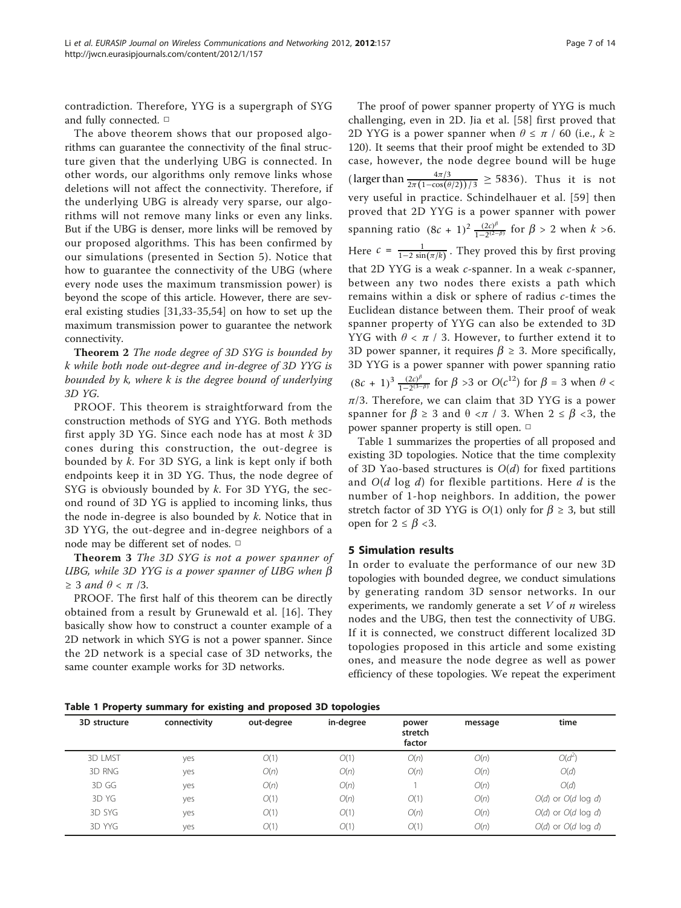contradiction. Therefore, YYG is a supergraph of SYG and fully connected. □

The above theorem shows that our proposed algorithms can guarantee the connectivity of the final structure given that the underlying UBG is connected. In other words, our algorithms only remove links whose deletions will not affect the connectivity. Therefore, if the underlying UBG is already very sparse, our algorithms will not remove many links or even any links. But if the UBG is denser, more links will be removed by our proposed algorithms. This has been confirmed by our simulations (presented in Section 5). Notice that how to guarantee the connectivity of the UBG (where every node uses the maximum transmission power) is beyond the scope of this article. However, there are several existing studies [[31,33-35,](#page-12-0)[54\]](#page-13-0) on how to set up the maximum transmission power to guarantee the network connectivity.

Theorem 2 The node degree of 3D SYG is bounded by k while both node out-degree and in-degree of 3D YYG is bounded by k, where k is the degree bound of underlying 3D YG.

PROOF. This theorem is straightforward from the construction methods of SYG and YYG. Both methods first apply 3D YG. Since each node has at most  $k$  3D cones during this construction, the out-degree is bounded by k. For 3D SYG, a link is kept only if both endpoints keep it in 3D YG. Thus, the node degree of SYG is obviously bounded by  $k$ . For 3D YYG, the second round of 3D YG is applied to incoming links, thus the node in-degree is also bounded by  $k$ . Notice that in 3D YYG, the out-degree and in-degree neighbors of a node may be different set of nodes. □

Theorem 3 The 3D SYG is not a power spanner of UBG, while 3D YYG is a power spanner of UBG when  $\beta$  $\geq$  3 and  $\theta$  <  $\pi$  /3.

PROOF. The first half of this theorem can be directly obtained from a result by Grunewald et al. [[16\]](#page-12-0). They basically show how to construct a counter example of a 2D network in which SYG is not a power spanner. Since the 2D network is a special case of 3D networks, the same counter example works for 3D networks.

The proof of power spanner property of YYG is much challenging, even in 2D. Jia et al. [[58\]](#page-13-0) first proved that 2D YYG is a power spanner when  $\theta \leq \pi / 60$  (i.e.,  $k \geq$ 120). It seems that their proof might be extended to 3D case, however, the node degree bound will be huge (larger than  $\frac{4\pi/3}{2\pi(1-\cos(\theta/2))/3} \ge 5836$ ). Thus it is not very useful in practice. Schindelhauer et al. [[59](#page-13-0)] then proved that 2D YYG is a power spanner with power spanning ratio  $(8c + 1)^2 \frac{(2c)^{\beta}}{1 - 2^{(2-\beta)}}$  for  $\beta > 2$  when  $k > 6$ . Here  $c = \frac{1}{1-2\sin(\pi/k)}$ . They proved this by first proving that 2D YYG is a weak  $c$ -spanner. In a weak  $c$ -spanner, between any two nodes there exists a path which remains within a disk or sphere of radius c-times the Euclidean distance between them. Their proof of weak spanner property of YYG can also be extended to 3D YYG with  $\theta < \pi$  / 3. However, to further extend it to 3D power spanner, it requires  $\beta \ge 3$ . More specifically, 3D YYG is a power spanner with power spanning ratio  $(8c + 1)^3 \frac{(2c)^{\beta}}{1 - 2^{(3-\beta)}}$  for  $\beta > 3$  or  $O(c^{12})$  for  $\beta = 3$  when  $\theta <$  $\pi/3$ . Therefore, we can claim that 3D YYG is a power spanner for  $\beta \geq 3$  and  $\theta \leq \pi / 3$ . When  $2 \leq \beta \leq 3$ , the power spanner property is still open. □

Table 1 summarizes the properties of all proposed and existing 3D topologies. Notice that the time complexity of 3D Yao-based structures is  $O(d)$  for fixed partitions and  $O(d \log d)$  for flexible partitions. Here d is the number of 1-hop neighbors. In addition, the power stretch factor of 3D YYG is  $O(1)$  only for  $\beta \geq 3$ , but still open for  $2 \leq \beta < 3$ .

# 5 Simulation results

In order to evaluate the performance of our new 3D topologies with bounded degree, we conduct simulations by generating random 3D sensor networks. In our experiments, we randomly generate a set  $V$  of  $n$  wireless nodes and the UBG, then test the connectivity of UBG. If it is connected, we construct different localized 3D topologies proposed in this article and some existing ones, and measure the node degree as well as power efficiency of these topologies. We repeat the experiment

Table 1 Property summary for existing and proposed 3D topologies

| $\cdot$        |              | -<br>. .<br>. . | -         |                            |         |                         |
|----------------|--------------|-----------------|-----------|----------------------------|---------|-------------------------|
| 3D structure   | connectivity | out-degree      | in-degree | power<br>stretch<br>factor | message | time                    |
| <b>3D LMST</b> | yes          | O(1)            | O(1)      | O(n)                       | O(n)    | $O(d^2)$                |
| 3D RNG         | yes          | O(n)            | O(n)      | O(n)                       | O(n)    | O(d)                    |
| 3D GG          | yes          | O(n)            | O(n)      |                            | O(n)    | O(d)                    |
| 3D YG          | yes          | O(1)            | O(n)      | O(1)                       | O(n)    | $O(d)$ or $O(d \log d)$ |
| 3D SYG         | yes          | O(1)            | O(1)      | O(n)                       | O(n)    | $O(d)$ or $O(d \log d)$ |
| 3D YYG         | yes          | O(1)            | O(1)      | O(1)                       | O(n)    | $O(d)$ or $O(d \log d)$ |
|                |              |                 |           |                            |         |                         |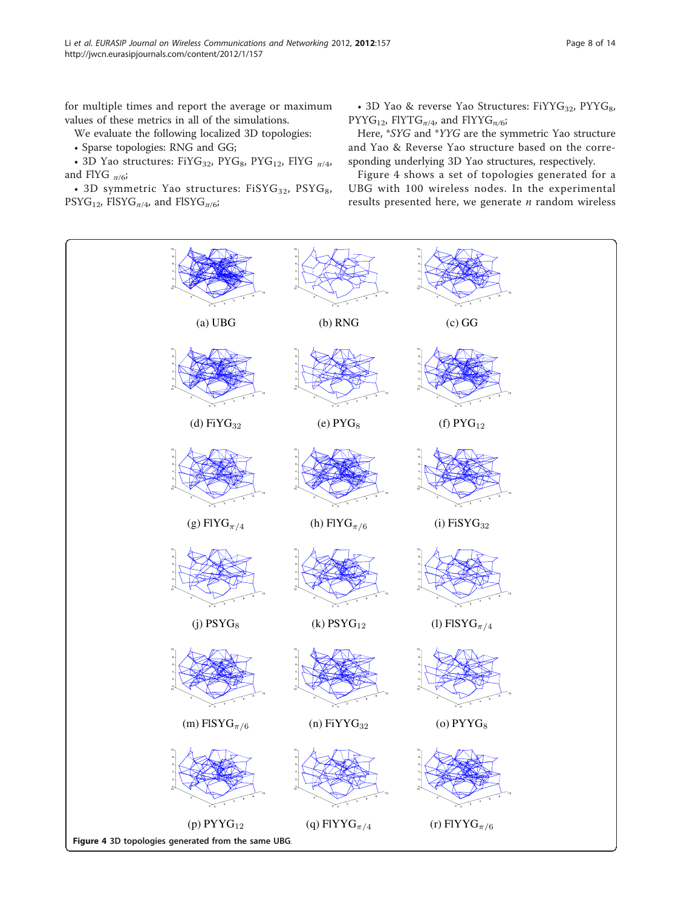<span id="page-7-0"></span>for multiple times and report the average or maximum values of these metrics in all of the simulations.

We evaluate the following localized 3D topologies:

• Sparse topologies: RNG and GG;

• 3D Yao structures: FiYG<sub>32</sub>, PYG<sub>8</sub>, PYG<sub>12</sub>, FlYG  $_{\pi/4}$ , and FlYG  $_{\pi/6}$ ;

• 3D symmetric Yao structures:  $FiSYG_{32}$ ,  $PSYG_{8}$ ,  $PSYG_{12}$ , FISYG<sub> $\pi/4$ </sub>, and FISYG<sub> $\pi/6$ </sub>;

• 3D Yao & reverse Yao Structures:  $FiYYG_{32}$ ,  $PYYG_{8}$ , PYYG<sub>12</sub>, FlYTG<sub> $\pi/4$ </sub>, and FlYYG<sub> $\pi/6$ </sub>;

Here, \*SYG and \*YYG are the symmetric Yao structure and Yao & Reverse Yao structure based on the corresponding underlying 3D Yao structures, respectively.

Figure 4 shows a set of topologies generated for a UBG with 100 wireless nodes. In the experimental results presented here, we generate  $n$  random wireless

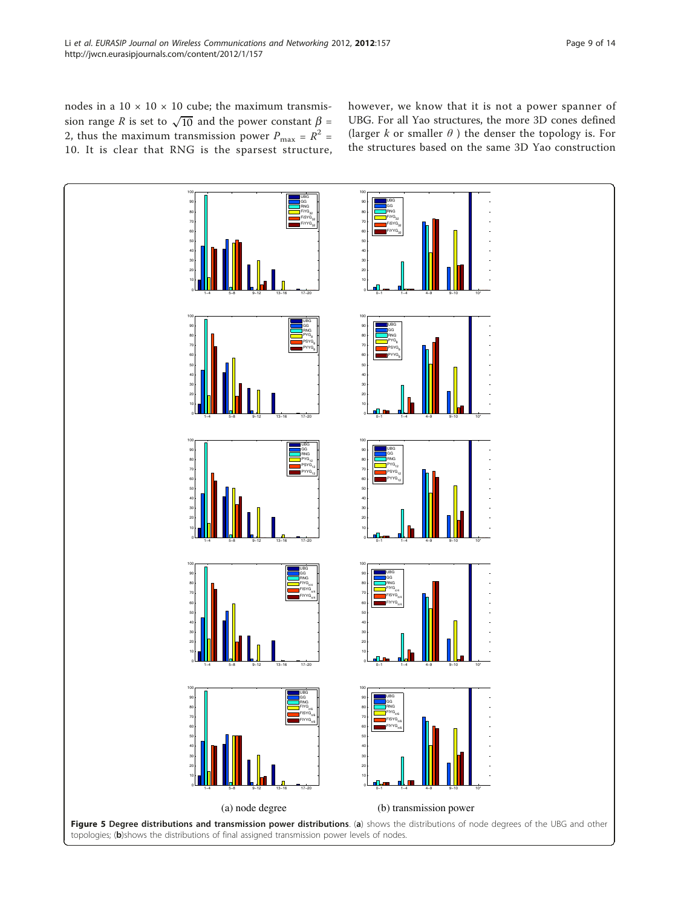<span id="page-8-0"></span>nodes in a  $10 \times 10 \times 10$  cube; the maximum transmission range R is set to  $\sqrt{10}$  and the power constant  $\beta$  = 2, thus the maximum transmission power  $P_{\text{max}} = R^2$  = 10. It is clear that RNG is the sparsest structure, however, we know that it is not a power spanner of UBG. For all Yao structures, the more 3D cones defined (larger k or smaller  $\theta$ ) the denser the topology is. For the structures based on the same 3D Yao construction

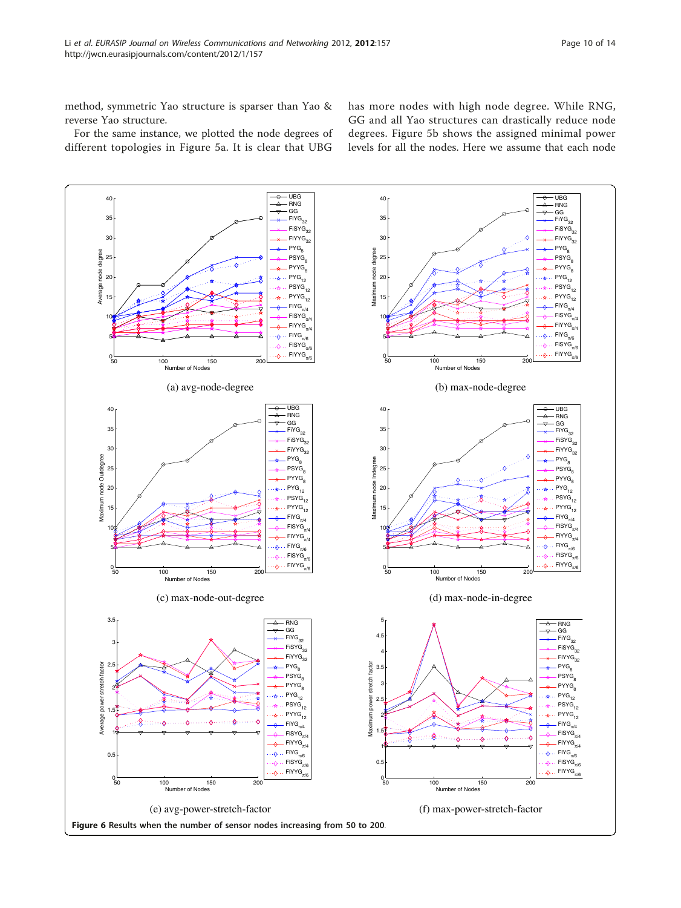<span id="page-9-0"></span>method, symmetric Yao structure is sparser than Yao & reverse Yao structure.

For the same instance, we plotted the node degrees of different topologies in Figure [5a.](#page-8-0) It is clear that UBG

has more nodes with high node degree. While RNG, GG and all Yao structures can drastically reduce node degrees. Figure [5b](#page-8-0) shows the assigned minimal power levels for all the nodes. Here we assume that each node

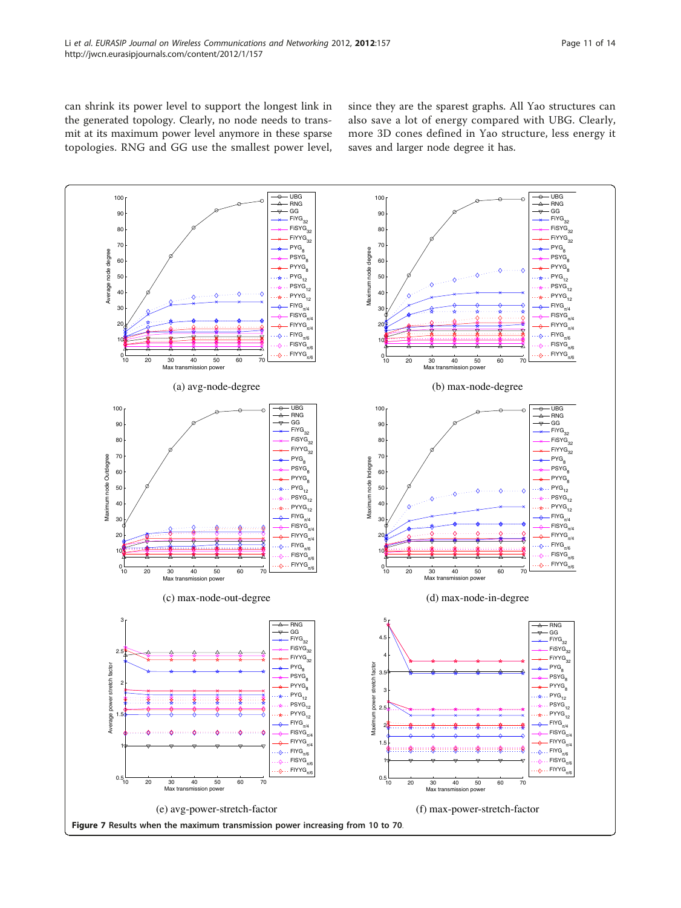<span id="page-10-0"></span>can shrink its power level to support the longest link in the generated topology. Clearly, no node needs to transmit at its maximum power level anymore in these sparse topologies. RNG and GG use the smallest power level, since they are the sparest graphs. All Yao structures can also save a lot of energy compared with UBG. Clearly, more 3D cones defined in Yao structure, less energy it saves and larger node degree it has.

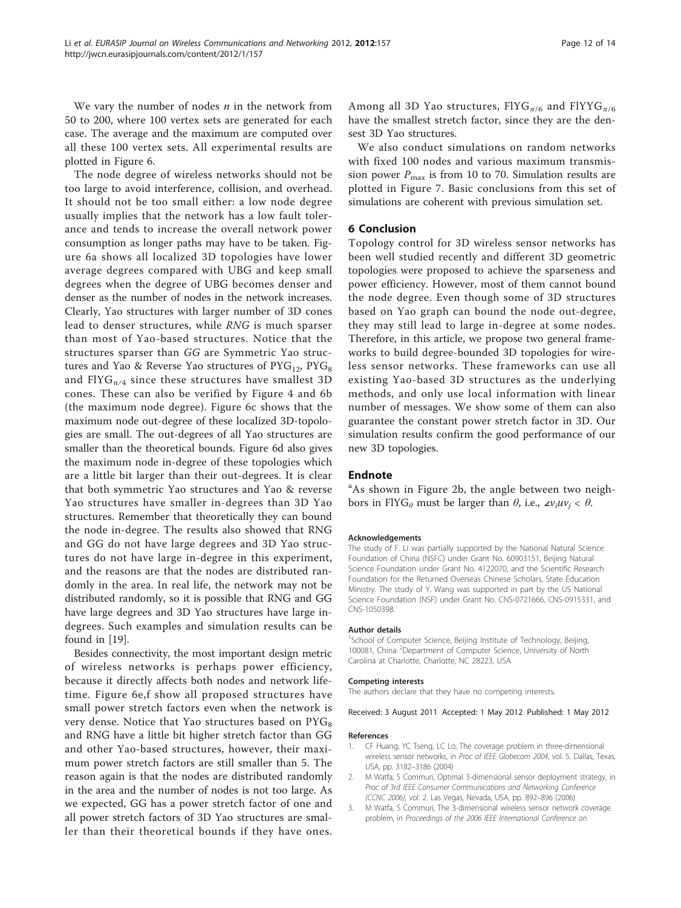<span id="page-11-0"></span>We vary the number of nodes  $n$  in the network from 50 to 200, where 100 vertex sets are generated for each case. The average and the maximum are computed over all these 100 vertex sets. All experimental results are plotted in Figure [6.](#page-9-0)

The node degree of wireless networks should not be too large to avoid interference, collision, and overhead. It should not be too small either: a low node degree usually implies that the network has a low fault tolerance and tends to increase the overall network power consumption as longer paths may have to be taken. Figure [6a](#page-9-0) shows all localized 3D topologies have lower average degrees compared with UBG and keep small degrees when the degree of UBG becomes denser and denser as the number of nodes in the network increases. Clearly, Yao structures with larger number of 3D cones lead to denser structures, while RNG is much sparser than most of Yao-based structures. Notice that the structures sparser than GG are Symmetric Yao structures and Yao & Reverse Yao structures of  $PYG_{12}$ ,  $PYG_{8}$ and FIYG $_{\pi/4}$  since these structures have smallest 3D cones. These can also be verified by Figure [4](#page-7-0) and [6b](#page-9-0) (the maximum node degree). Figure [6c](#page-9-0) shows that the maximum node out-degree of these localized 3D-topologies are small. The out-degrees of all Yao structures are smaller than the theoretical bounds. Figure [6d](#page-9-0) also gives the maximum node in-degree of these topologies which are a little bit larger than their out-degrees. It is clear that both symmetric Yao structures and Yao & reverse Yao structures have smaller in-degrees than 3D Yao structures. Remember that theoretically they can bound the node in-degree. The results also showed that RNG and GG do not have large degrees and 3D Yao structures do not have large in-degree in this experiment, and the reasons are that the nodes are distributed randomly in the area. In real life, the network may not be distributed randomly, so it is possible that RNG and GG have large degrees and 3D Yao structures have large indegrees. Such examples and simulation results can be found in [\[19\]](#page-12-0).

Besides connectivity, the most important design metric of wireless networks is perhaps power efficiency, because it directly affects both nodes and network lifetime. Figure [6e,f](#page-9-0) show all proposed structures have small power stretch factors even when the network is very dense. Notice that Yao structures based on  $PYG<sub>8</sub>$ and RNG have a little bit higher stretch factor than GG and other Yao-based structures, however, their maximum power stretch factors are still smaller than 5. The reason again is that the nodes are distributed randomly in the area and the number of nodes is not too large. As we expected, GG has a power stretch factor of one and all power stretch factors of 3D Yao structures are smaller than their theoretical bounds if they have ones. Among all 3D Yao structures,  $\text{FIVG}_{\pi/6}$  and  $\text{FIVG}_{\pi/6}$ have the smallest stretch factor, since they are the densest 3D Yao structures.

We also conduct simulations on random networks with fixed 100 nodes and various maximum transmission power  $P_{\text{max}}$  is from 10 to 70. Simulation results are plotted in Figure [7](#page-10-0). Basic conclusions from this set of simulations are coherent with previous simulation set.

### 6 Conclusion

Topology control for 3D wireless sensor networks has been well studied recently and different 3D geometric topologies were proposed to achieve the sparseness and power efficiency. However, most of them cannot bound the node degree. Even though some of 3D structures based on Yao graph can bound the node out-degree, they may still lead to large in-degree at some nodes. Therefore, in this article, we propose two general frameworks to build degree-bounded 3D topologies for wireless sensor networks. These frameworks can use all existing Yao-based 3D structures as the underlying methods, and only use local information with linear number of messages. We show some of them can also guarantee the constant power stretch factor in 3D. Our simulation results confirm the good performance of our new 3D topologies.

#### Endnote

<sup>a</sup>As shown in Figure [2b,](#page-4-0) the angle between two neighbors in FlYG<sub>θ</sub> must be larger than  $\theta$ , i.e., ∠ $v_iuv_i < \theta$ .

#### Acknowledgements

The study of F. Li was partially supported by the National Natural Science Foundation of China (NSFC) under Grant No. 60903151, Beijing Natural Science Foundation under Grant No. 4122070, and the Scientific Research Foundation for the Returned Overseas Chinese Scholars, State Education Ministry. The study of Y. Wang was supported in part by the US National Science Foundation (NSF) under Grant No. CNS-0721666, CNS-0915331, and CNS-1050398.

#### Author details

<sup>1</sup>School of Computer Science, Beijing Institute of Technology, Beijing, 100081, China <sup>2</sup> Department of Computer Science, University of North Carolina at Charlotte, Charlotte, NC 28223, USA

#### Competing interests

The authors declare that they have no competing interests.

Received: 3 August 2011 Accepted: 1 May 2012 Published: 1 May 2012

#### References

- 1. CF Huang, YC Tseng, LC Lo, The coverage problem in three-dimensional wireless sensor networks, in Proc of IEEE Globecom 2004, vol. 5. Dallas, Texas, USA, pp. 3182–3186 (2004)
- 2. M Watfa, S Commuri, Optimal 3-dimensional sensor deployment strategy, in Proc of 3rd IEEE Consumer Communications and Networking Conference (CCNC 2006), vol. 2. Las Vegas, Nevada, USA, pp. 892–896 (2006)
- 3. M Watfa, S Commuri, The 3-dimensional wireless sensor network coverage problem, in Proceedings of the 2006 IEEE International Conference on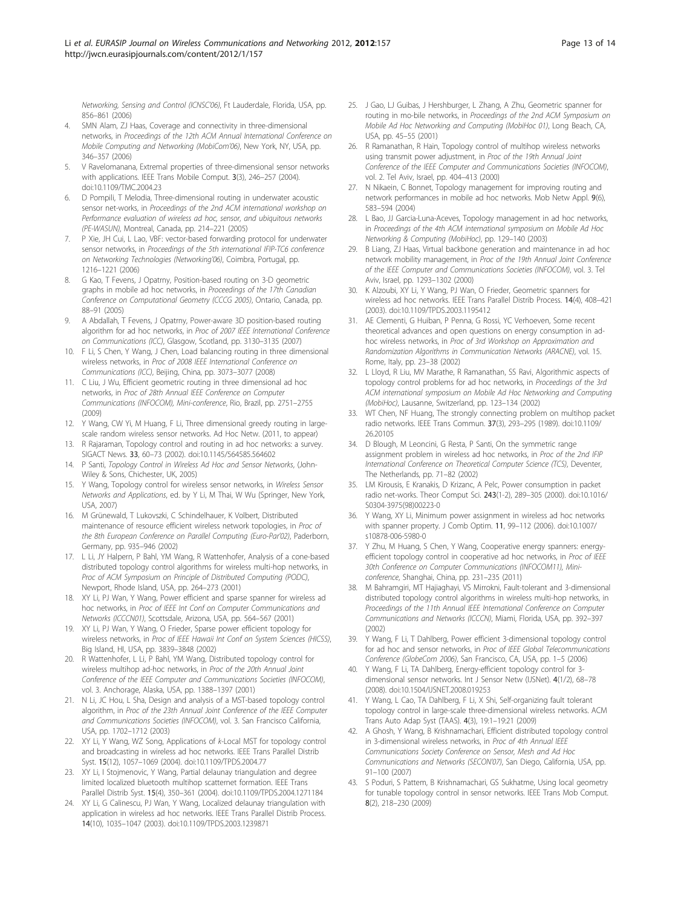<span id="page-12-0"></span>Networking, Sensing and Control (ICNSC'06), Ft Lauderdale, Florida, USA, pp. 856–861 (2006)

- 4. SMN Alam, ZJ Haas, Coverage and connectivity in three-dimensional networks, in Proceedings of the 12th ACM Annual International Conference on Mobile Computing and Networking (MobiCom'06), New York, NY, USA, pp. 346–357 (2006)
- 5. V Ravelomanana, Extremal properties of three-dimensional sensor networks with applications. IEEE Trans Mobile Comput. 3(3), 246–257 (2004). doi:10.1109/TMC.2004.23
- 6. D Pompili, T Melodia, Three-dimensional routing in underwater acoustic sensor net-works, in Proceedings of the 2nd ACM international workshop on Performance evaluation of wireless ad hoc, sensor, and ubiquitous networks (PE-WASUN), Montreal, Canada, pp. 214–221 (2005)
- P Xie, JH Cui, L Lao, VBF: vector-based forwarding protocol for underwater sensor networks, in Proceedings of the 5th international IFIP-TC6 conference on Networking Technologies (Networking'06), Coimbra, Portugal, pp. 1216–1221 (2006)
- 8. G Kao, T Fevens, J Opatrny, Position-based routing on 3-D geometric graphs in mobile ad hoc networks, in Proceedings of the 17th Canadian Conference on Computational Geometry (CCCG 2005), Ontario, Canada, pp. 88–91 (2005)
- 9. A Abdallah, T Fevens, J Opatrny, Power-aware 3D position-based routing algorithm for ad hoc networks, in Proc of 2007 IEEE International Conference on Communications (ICC), Glasgow, Scotland, pp. 3130–3135 (2007)
- 10. F Li, S Chen, Y Wang, J Chen, Load balancing routing in three dimensional wireless networks, in Proc of 2008 IEEE International Conference on Communications (ICC), Beijing, China, pp. 3073–3077 (2008)
- 11. C Liu, J Wu, Efficient geometric routing in three dimensional ad hoc networks, in Proc of 28th Annual IEEE Conference on Computer Communications (INFOCOM), Mini-conference, Rio, Brazil, pp. 2751–2755 (2009)
- 12. Y Wang, CW Yi, M Huang, F Li, Three dimensional greedy routing in largescale random wireless sensor networks. Ad Hoc Netw. (2011, to appear)
- 13. R Rajaraman, Topology control and routing in ad hoc networks: a survey. SIGACT News. 33, 60–73 (2002). doi:10.1145/564585.564602
- 14. P Santi, Topology Control in Wireless Ad Hoc and Sensor Networks, (John-Wiley & Sons, Chichester, UK, 2005)
- 15. Y Wang, Topology control for wireless sensor networks, in Wireless Sensor Networks and Applications, ed. by Y Li, M Thai, W Wu (Springer, New York, USA, 2007)
- 16. M Grünewald, T Lukovszki, C Schindelhauer, K Volbert, Distributed maintenance of resource efficient wireless network topologies, in Proc of the 8th European Conference on Parallel Computing (Euro-Par'02), Paderborn, Germany, pp. 935–946 (2002)
- 17. L Li, JY Halpern, P Bahl, YM Wang, R Wattenhofer, Analysis of a cone-based distributed topology control algorithms for wireless multi-hop networks, in Proc of ACM Symposium on Principle of Distributed Computing (PODC), Newport, Rhode Island, USA, pp. 264–273 (2001)
- 18. XY Li, PJ Wan, Y Wang, Power efficient and sparse spanner for wireless ad hoc networks, in Proc of IEEE Int Conf on Computer Communications and Networks (ICCCN01), Scottsdale, Arizona, USA, pp. 564–567 (2001)
- 19. XY Li, PJ Wan, Y Wang, O Frieder, Sparse power efficient topology for wireless networks, in Proc of IEEE Hawaii Int Conf on System Sciences (HICSS), Big Island, HI, USA, pp. 3839–3848 (2002)
- 20. R Wattenhofer, L Li, P Bahl, YM Wang, Distributed topology control for wireless multihop ad-hoc networks, in Proc of the 20th Annual Joint Conference of the IEEE Computer and Communications Societies (INFOCOM), vol. 3. Anchorage, Alaska, USA, pp. 1388–1397 (2001)
- 21. N Li, JC Hou, L Sha, Design and analysis of a MST-based topology control algorithm, in Proc of the 23th Annual Joint Conference of the IEEE Computer and Communications Societies (INFOCOM), vol. 3. San Francisco California, USA, pp. 1702–1712 (2003)
- 22. XY Li, Y Wang, WZ Song, Applications of k-Local MST for topology control and broadcasting in wireless ad hoc networks. IEEE Trans Parallel Distrib Syst. 15(12), 1057–1069 (2004). doi:10.1109/TPDS.2004.77
- 23. XY Li, I Stojmenovic, Y Wang, Partial delaunay triangulation and degree limited localized bluetooth multihop scatternet formation. IEEE Trans Parallel Distrib Syst. 15(4), 350–361 (2004). doi:10.1109/TPDS.2004.1271184
- 24. XY Li, G Calinescu, PJ Wan, Y Wang, Localized delaunay triangulation with application in wireless ad hoc networks. IEEE Trans Parallel Distrib Process. 14(10), 1035–1047 (2003). doi:10.1109/TPDS.2003.1239871
- 25. J Gao, LJ Guibas, J Hershburger, L Zhang, A Zhu, Geometric spanner for routing in mo-bile networks, in Proceedings of the 2nd ACM Symposium on Mobile Ad Hoc Networking and Computing (MobiHoc 01), Long Beach, CA, USA, pp. 45–55 (2001)
- 26. R Ramanathan, R Hain, Topology control of multihop wireless networks using transmit power adjustment, in Proc of the 19th Annual Joint Conference of the IEEE Computer and Communications Societies (INFOCOM), vol. 2. Tel Aviv, Israel, pp. 404–413 (2000)
- 27. N Nikaein, C Bonnet, Topology management for improving routing and network performances in mobile ad hoc networks. Mob Netw Appl. 9(6), 583–594 (2004)
- 28. L Bao, JJ Garcia-Luna-Aceves, Topology management in ad hoc networks, in Proceedings of the 4th ACM international symposium on Mobile Ad Hoc Networking & Computing (MobiHoc), pp. 129–140 (2003)
- 29. B Liang, ZJ Haas, Virtual backbone generation and maintenance in ad hoc network mobility management, in Proc of the 19th Annual Joint Conference of the IEEE Computer and Communications Societies (INFOCOM), vol. 3. Tel Aviv, Israel, pp. 1293–1302 (2000)
- 30. K Alzoubi, XY Li, Y Wang, PJ Wan, O Frieder, Geometric spanners for wireless ad hoc networks. IEEE Trans Parallel Distrib Process. 14(4), 408–421 (2003). doi:10.1109/TPDS.2003.1195412
- 31. AE Clementi, G Huiban, P Penna, G Rossi, YC Verhoeven, Some recent theoretical advances and open questions on energy consumption in adhoc wireless networks, in Proc of 3rd Workshop on Approximation and Randomization Algorithms in Communication Networks (ARACNE), vol. 15. Rome, Italy, pp. 23–38 (2002)
- 32. L Lloyd, R Liu, MV Marathe, R Ramanathan, SS Ravi, Algorithmic aspects of topology control problems for ad hoc networks, in Proceedings of the 3rd ACM international symposium on Mobile Ad Hoc Networking and Computing (MobiHoc), Lausanne, Switzerland, pp. 123–134 (2002)
- 33. WT Chen, NF Huang, The strongly connecting problem on multihop packet radio networks. IEEE Trans Commun. 37(3), 293–295 (1989). doi:10.1109/ 26.20105
- 34. D Blough, M Leoncini, G Resta, P Santi, On the symmetric range assignment problem in wireless ad hoc networks, in Proc of the 2nd IFIP International Conference on Theoretical Computer Science (TCS), Deventer, The Netherlands, pp. 71–82 (2002)
- 35. LM Kirousis, E Kranakis, D Krizanc, A Pelc, Power consumption in packet radio net-works. Theor Comput Sci. 243(1-2), 289–305 (2000). doi:10.1016/ S0304-3975(98)00223-0
- 36. Y Wang, XY Li, Minimum power assignment in wireless ad hoc networks with spanner property. J Comb Optim. 11, 99–112 (2006). doi:10.1007/ s10878-006-5980-0
- 37. Y Zhu, M Huang, S Chen, Y Wang, Cooperative energy spanners: energyefficient topology control in cooperative ad hoc networks, in Proc of IEEE 30th Conference on Computer Communications (INFOCOM11), Miniconference, Shanghai, China, pp. 231–235 (2011)
- 38. M Bahramgiri, MT Hajiaghayi, VS Mirrokni, Fault-tolerant and 3-dimensional distributed topology control algorithms in wireless multi-hop networks, in Proceedings of the 11th Annual IEEE International Conference on Computer Communications and Networks (ICCCN), Miami, Florida, USA, pp. 392–397 (2002)
- 39. Y Wang, F Li, T Dahlberg, Power efficient 3-dimensional topology control for ad hoc and sensor networks, in Proc of IEEE Global Telecommunications Conference (GlobeCom 2006), San Francisco, CA, USA, pp. 1–5 (2006)
- 40. Y Wang, F Li, TA Dahlberg, Energy-efficient topology control for 3 dimensional sensor networks. Int J Sensor Netw (IJSNet). 4(1/2), 68–78 (2008). doi:10.1504/IJSNET.2008.019253
- 41. Y Wang, L Cao, TA Dahlberg, F Li, X Shi, Self-organizing fault tolerant topology control in large-scale three-dimensional wireless networks. ACM Trans Auto Adap Syst (TAAS). 4(3), 19:1–19:21 (2009)
- 42. A Ghosh, Y Wang, B Krishnamachari, Efficient distributed topology control in 3-dimensional wireless networks, in Proc of 4th Annual IEEE Communications Society Conference on Sensor, Mesh and Ad Hoc Communications and Networks (SECON'07), San Diego, California, USA, pp. 91–100 (2007)
- 43. S Poduri, S Pattem, B Krishnamachari, GS Sukhatme, Using local geometry for tunable topology control in sensor networks. IEEE Trans Mob Comput. 8(2), 218–230 (2009)